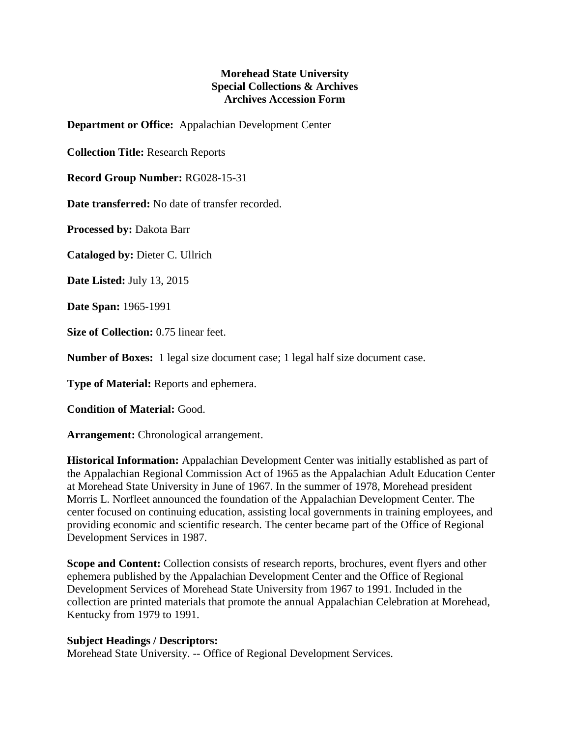## **Morehead State University Special Collections & Archives Archives Accession Form**

**Department or Office:** Appalachian Development Center

**Collection Title:** Research Reports

**Record Group Number:** RG028-15-31

**Date transferred:** No date of transfer recorded.

**Processed by:** Dakota Barr

**Cataloged by:** Dieter C. Ullrich

**Date Listed:** July 13, 2015

**Date Span:** 1965-1991

**Size of Collection:** 0.75 linear feet.

**Number of Boxes:** 1 legal size document case; 1 legal half size document case.

**Type of Material:** Reports and ephemera.

**Condition of Material:** Good.

**Arrangement:** Chronological arrangement.

**Historical Information:** Appalachian Development Center was initially established as part of the Appalachian Regional Commission Act of 1965 as the Appalachian Adult Education Center at Morehead State University in June of 1967. In the summer of 1978, Morehead president Morris L. Norfleet announced the foundation of the Appalachian Development Center. The center focused on continuing education, assisting local governments in training employees, and providing economic and scientific research. The center became part of the Office of Regional Development Services in 1987.

**Scope and Content:** Collection consists of research reports, brochures, event flyers and other ephemera published by the Appalachian Development Center and the Office of Regional Development Services of Morehead State University from 1967 to 1991. Included in the collection are printed materials that promote the annual Appalachian Celebration at Morehead, Kentucky from 1979 to 1991.

## **Subject Headings / Descriptors:**

Morehead State University. -- Office of Regional Development Services.